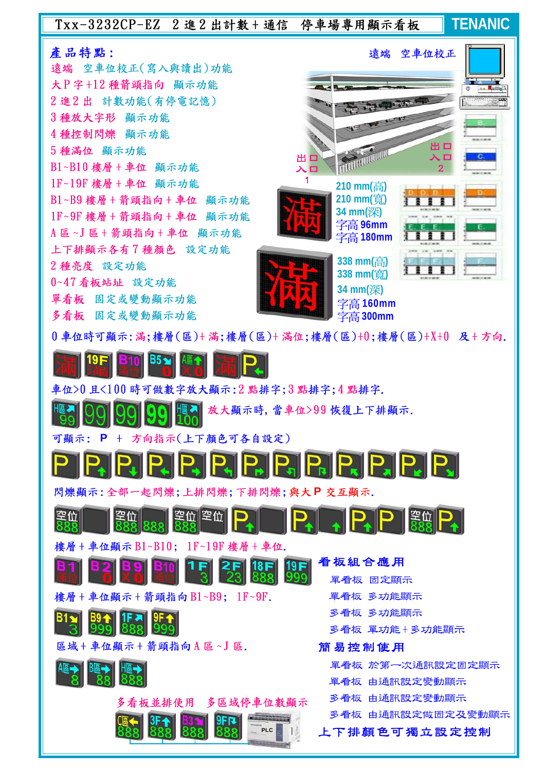## Txx-3232CP-EZ 2進2出計數+通信 停車場專用顯示看板

**TENANIC**

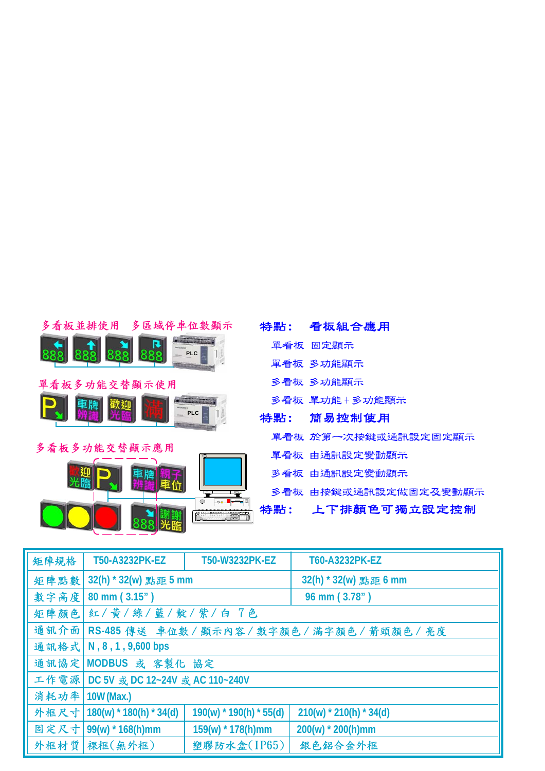| 多看板並排使用 多區域停車位數顯示 |     | 特點: 看板組合應用           |
|-------------------|-----|----------------------|
| 888<br>$=$ PLC    |     | 單看板 固定顯示             |
|                   |     | 單看板 多功能顯示            |
| 單看板多功能交替顯示使用      |     | 多看板 多功能顯示            |
| PLC               |     | 多看板 單功能+多功能顯示        |
|                   | 特點: | 簡易控制使用               |
| 多看板多功能交替顯示應用      |     | 單看板 於第一次按鍵或通訊設定固定顯示  |
|                   |     | 單看板 由通訊設定變動顯示        |
|                   |     | 多看板 由通訊設定變動顯示        |
|                   |     | 多看板 由按鍵或通訊設定做固定及變動顯示 |
|                   |     | 特點: 上下排顏色可獨立設定控制     |

| 矩陣規格 | T50-A3232PK-EZ                                 | T50-W3232PK-EZ            | T60-A3232PK-EZ            |  |
|------|------------------------------------------------|---------------------------|---------------------------|--|
| 矩陣點數 | 32(h) * 32(w) 點距 5 mm                          |                           | 32(h) * 32(w) 點距 6 mm     |  |
| 數字高度 | 80 mm (3.15")                                  |                           | 96 mm (3.78")             |  |
| 矩陣顏色 | 紅/黃/綠/藍/靛/紫/白 7色                               |                           |                           |  |
| 通訊介面 | RS-485 傳送 車位數 / 顯示內容 / 數字顏色 / 滿字顏色 / 箭頭顏色 / 亮度 |                           |                           |  |
|      | 通訊格式   N, 8, 1, 9,600 bps                      |                           |                           |  |
|      | 通訊協定 MODBUS 或 客製化 協定                           |                           |                           |  |
|      | 工作電源 DC 5V 或 DC 12~24V 或 AC 110~240V           |                           |                           |  |
| 消耗功率 | 10W (Max.)                                     |                           |                           |  |
| 外框尺寸 | $180(w)$ * 180(h) * 34(d)                      | $190(w)$ * 190(h) * 55(d) | $210(w)$ * 210(h) * 34(d) |  |
| 固定尺寸 | $99(w) * 168(h)$ mm                            | 159(w) * 178(h)mm         | $200(w)$ * 200(h)mm       |  |
| 外框材質 | 裸框(無外框)                                        | 塑膠防水盒(IP65)               | 銀色鋁合金外框                   |  |